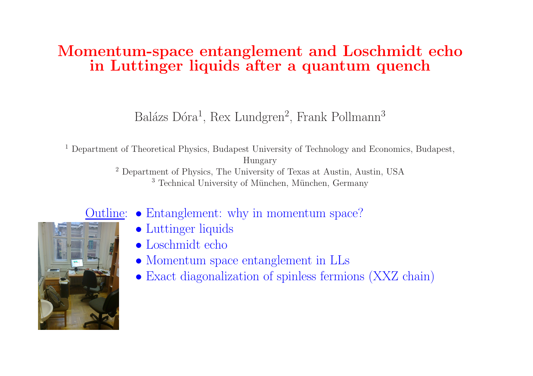# Momentum-space entanglement and Loschmidt echo in Luttinger liquids after a quantum quench

Balázs Dóra<sup>1</sup>, Rex Lundgren<sup>2</sup>, Frank Pollmann<sup>3</sup>

<sup>1</sup> Department of Theoretical Physics, Budapest University of Technology and Economics, Budapest, Hungary

<sup>2</sup> Department of Physics, The University of Texas at Austin, Austin, USA <sup>3</sup> Technical University of München, München, Germany



- Outline: Entanglement: why in momentum space?
	- Luttinger liquids
	- Loschmidt echo
	- Momentum space entanglement in LLs
	- Exact diagonalization of spinless fermions (XXZ chain)

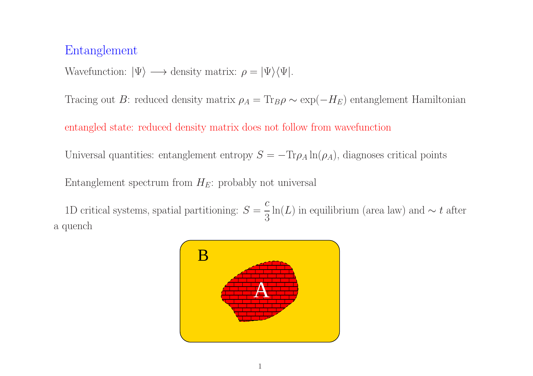### Entanglement

Wavefunction:  $|\Psi\rangle \longrightarrow$  density matrix:  $\rho = |\Psi\rangle \langle \Psi|$ .

Tracing out B: reduced density matrix  $\rho_A = Tr_B \rho \sim \exp(-H_E)$  entanglement Hamiltonian

entangled state: reduced density matrix does not follow from wavefunction

Universal quantities: entanglement entropy  $S = -\text{Tr}\rho_A \ln(\rho_A)$ , diagnoses critical points

Entanglement spectrum from  $H_E$ : probably not universal

1D critical systems, spatial partitioning:  $S = \frac{c}{3} \ln(L)$  in equilibrium (area law) and ∼ t after a quench

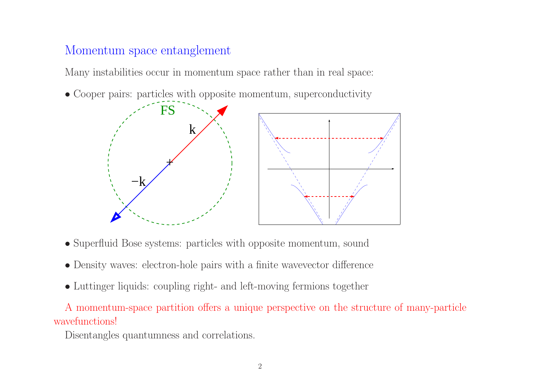## Momentum space entanglement

Many instabilities occur in momentum space rather than in real space:

• Cooper pairs: particles with opposite momentum, superconductivity



- Superfluid Bose systems: particles with opposite momentum, sound
- Density waves: electron-hole pairs with <sup>a</sup> finite wavevector difference
- Luttinger liquids: coupling right- and left-moving fermions together

A momentum-space partition offers <sup>a</sup> unique perspective on the structure of many-particle wavefunctions!

Disentangles quantumness and correlations.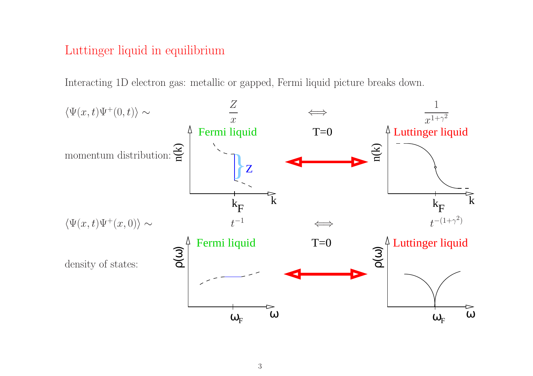## Luttinger liquid in equilibrium

Interacting 1D electron gas: metallic or gapped, Fermi liquid picture breaks down.

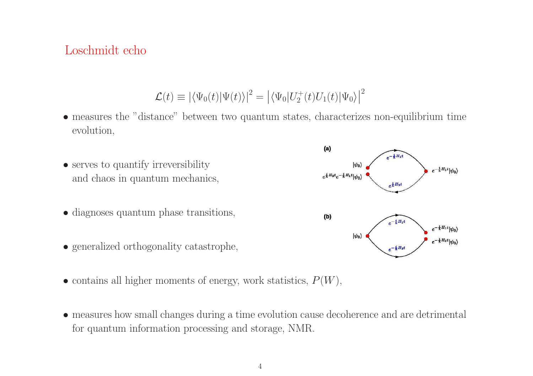#### Loschmidt echo

 $\mathcal{L}(t) \equiv |\langle \Psi_0(t)|\Psi(t)\rangle|^2 = |\langle \Psi_0|U_2^+(t)U_1(t)|\Psi_0\rangle|^2$ 

• measures the "distance" between two quantum states, characterizes non-equilibrium time evolution,



- contains all higher moments of energy, work statistics,  $P(W)$ ,
- measures how small changes during <sup>a</sup> time evolution cause decoherence and are detrimental for quantum information processing and storage, NMR.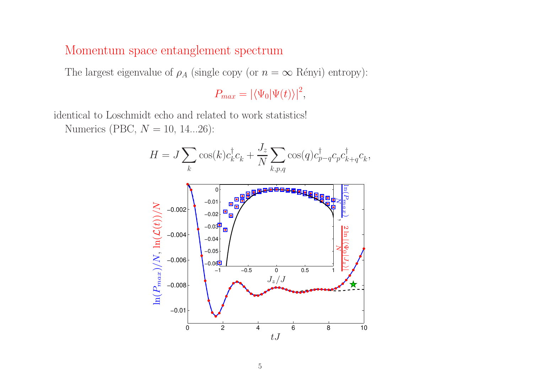#### Momentum space entanglement spectrum

The largest eigenvalue of  $\rho_A$  (single copy (or  $n = \infty$  Rényi) entropy):

 $P_{max} = \left| \langle \Psi_0 | \Psi(t) \rangle \right|^2$ ,

identical to Loschmidt echo and related to work statistics!

Numerics (PBC,  $N = 10, 14...26$ ):

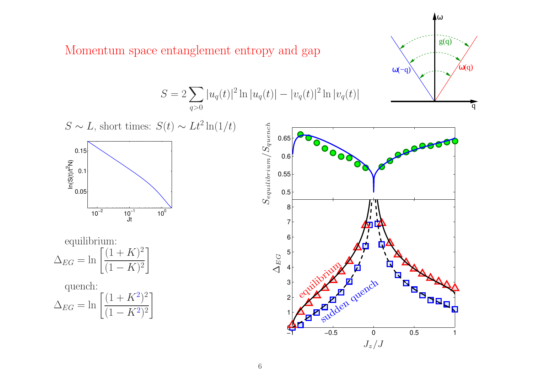Momentum space entanglement entropy and gap



 $g(q)$  $ω(-q)$  $\omega(q)$ 

ω